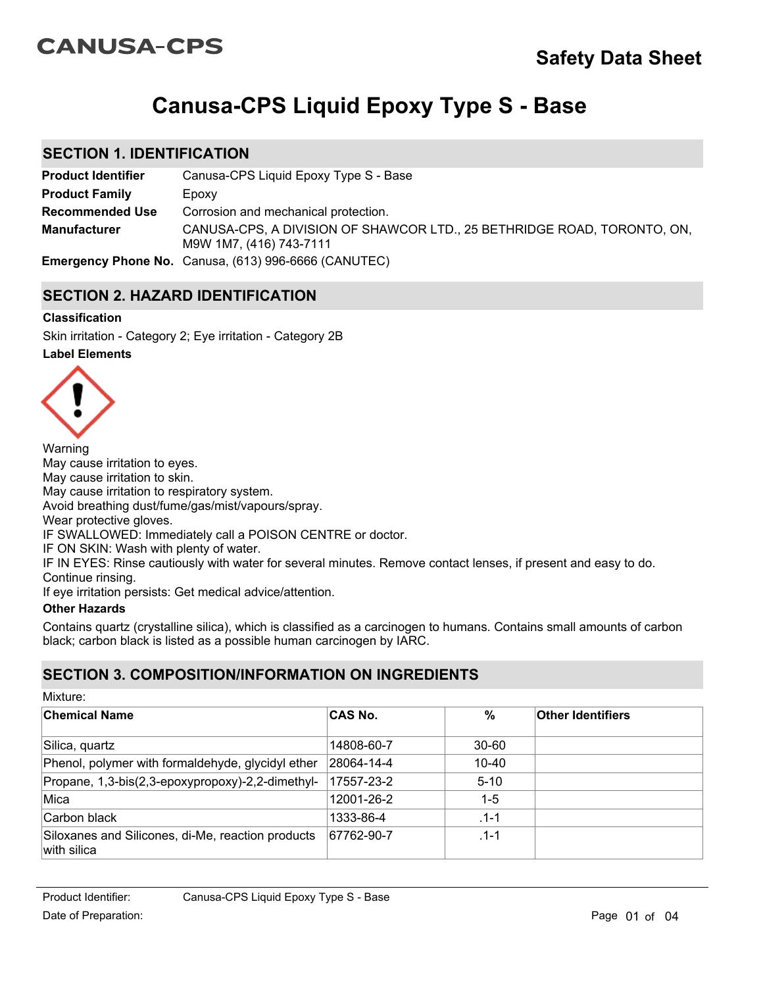# **CANUSA-CPS**

# **Canusa-CPS Liquid Epoxy Type S - Base**

## **SECTION 1. IDENTIFICATION**

| <b>Product Identifier</b> | Canusa-CPS Liquid Epoxy Type S - Base                                                              |
|---------------------------|----------------------------------------------------------------------------------------------------|
| <b>Product Family</b>     | Epoxy                                                                                              |
| <b>Recommended Use</b>    | Corrosion and mechanical protection.                                                               |
| <b>Manufacturer</b>       | CANUSA-CPS, A DIVISION OF SHAWCOR LTD., 25 BETHRIDGE ROAD, TORONTO, ON,<br>M9W 1M7, (416) 743-7111 |
|                           | <b>Emergency Phone No.</b> Canusa, (613) 996-6666 (CANUTEC)                                        |

## **SECTION 2. HAZARD IDENTIFICATION**

### **Classification**

Skin irritation - Category 2; Eye irritation - Category 2B

### **Label Elements**



Warning May cause irritation to eyes. May cause irritation to skin. May cause irritation to respiratory system. Avoid breathing dust/fume/gas/mist/vapours/spray. Wear protective gloves. IF SWALLOWED: Immediately call a POISON CENTRE or doctor. IF ON SKIN: Wash with plenty of water. IF IN EYES: Rinse cautiously with water for several minutes. Remove contact lenses, if present and easy to do. Continue rinsing. If eye irritation persists: Get medical advice/attention.

## **Other Hazards**

Mixture:

Contains quartz (crystalline silica), which is classified as a carcinogen to humans. Contains small amounts of carbon black; carbon black is listed as a possible human carcinogen by IARC.

# **SECTION 3. COMPOSITION/INFORMATION ON INGREDIENTS**

| IVIIALUI <del>C</del> .                                          |                |           |                          |  |
|------------------------------------------------------------------|----------------|-----------|--------------------------|--|
| <b>Chemical Name</b>                                             | <b>CAS No.</b> | %         | <b>Other Identifiers</b> |  |
| Silica, quartz                                                   | 14808-60-7     | $30 - 60$ |                          |  |
| Phenol, polymer with formaldehyde, glycidyl ether                | 28064-14-4     | 10-40     |                          |  |
| Propane, 1,3-bis(2,3-epoxypropoxy)-2,2-dimethyl-                 | 17557-23-2     | $5 - 10$  |                          |  |
| Mica                                                             | 12001-26-2     | $1-5$     |                          |  |
| Carbon black                                                     | 1333-86-4      | $.1 - 1$  |                          |  |
| Siloxanes and Silicones, di-Me, reaction products<br>with silica | 67762-90-7     | $.1 - 1$  |                          |  |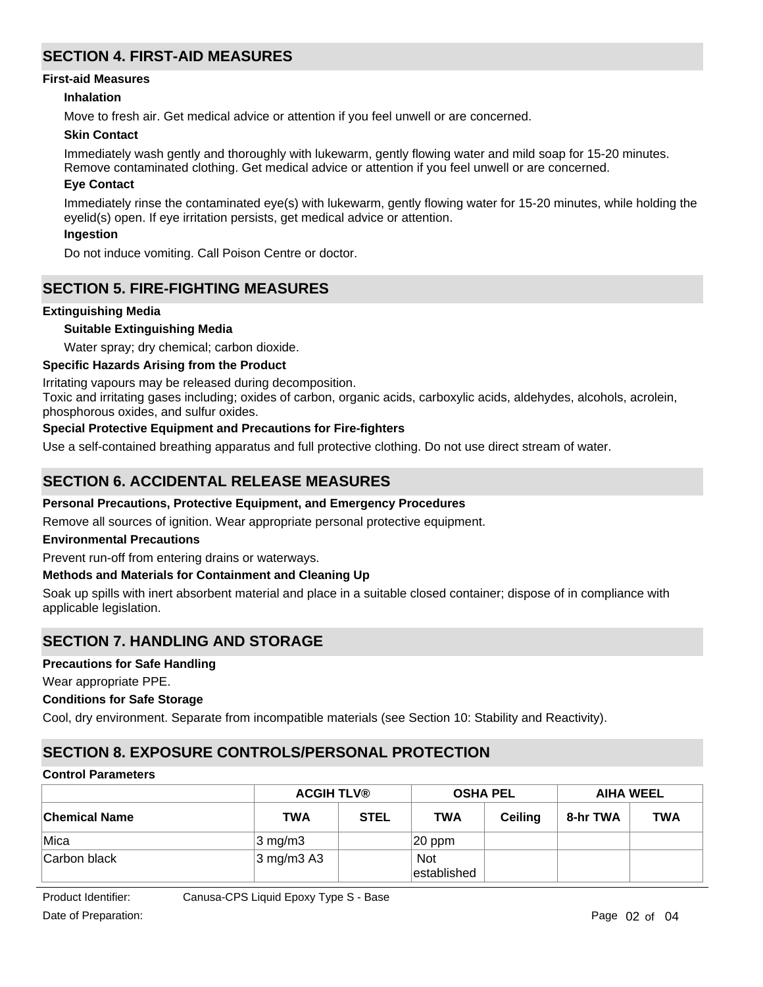# **SECTION 4. FIRST-AID MEASURES**

#### **First-aid Measures**

### **Inhalation**

Move to fresh air. Get medical advice or attention if you feel unwell or are concerned.

#### **Skin Contact**

Immediately wash gently and thoroughly with lukewarm, gently flowing water and mild soap for 15-20 minutes. Remove contaminated clothing. Get medical advice or attention if you feel unwell or are concerned.

#### **Eye Contact**

Immediately rinse the contaminated eye(s) with lukewarm, gently flowing water for 15-20 minutes, while holding the eyelid(s) open. If eye irritation persists, get medical advice or attention.

#### **Ingestion**

Do not induce vomiting. Call Poison Centre or doctor.

## **SECTION 5. FIRE-FIGHTING MEASURES**

#### **Extinguishing Media**

#### **Suitable Extinguishing Media**

Water spray; dry chemical; carbon dioxide.

#### **Specific Hazards Arising from the Product**

Irritating vapours may be released during decomposition.

Toxic and irritating gases including; oxides of carbon, organic acids, carboxylic acids, aldehydes, alcohols, acrolein, phosphorous oxides, and sulfur oxides.

### **Special Protective Equipment and Precautions for Fire-fighters**

Use a self-contained breathing apparatus and full protective clothing. Do not use direct stream of water.

## **SECTION 6. ACCIDENTAL RELEASE MEASURES**

#### **Personal Precautions, Protective Equipment, and Emergency Procedures**

Remove all sources of ignition. Wear appropriate personal protective equipment.

#### **Environmental Precautions**

Prevent run-off from entering drains or waterways.

#### **Methods and Materials for Containment and Cleaning Up**

Soak up spills with inert absorbent material and place in a suitable closed container; dispose of in compliance with applicable legislation.

## **SECTION 7. HANDLING AND STORAGE**

#### **Precautions for Safe Handling**

Wear appropriate PPE.

#### **Conditions for Safe Storage**

Cool, dry environment. Separate from incompatible materials (see Section 10: Stability and Reactivity).

## **SECTION 8. EXPOSURE CONTROLS/PERSONAL PROTECTION**

## **Control Parameters**

|                      | <b>ACGIH TLV®</b>     |             | <b>OSHA PEL</b>           |                | <b>AIHA WEEL</b> |            |
|----------------------|-----------------------|-------------|---------------------------|----------------|------------------|------------|
| <b>Chemical Name</b> | <b>TWA</b>            | <b>STEL</b> | <b>TWA</b>                | <b>Ceiling</b> | 8-hr TWA         | <b>TWA</b> |
| Mica                 | $3 \text{ mg/m}$ 3    |             | $ 20$ ppm                 |                |                  |            |
| Carbon black         | $3 \text{ mg/m}$ 3 A3 |             | <b>Not</b><br>established |                |                  |            |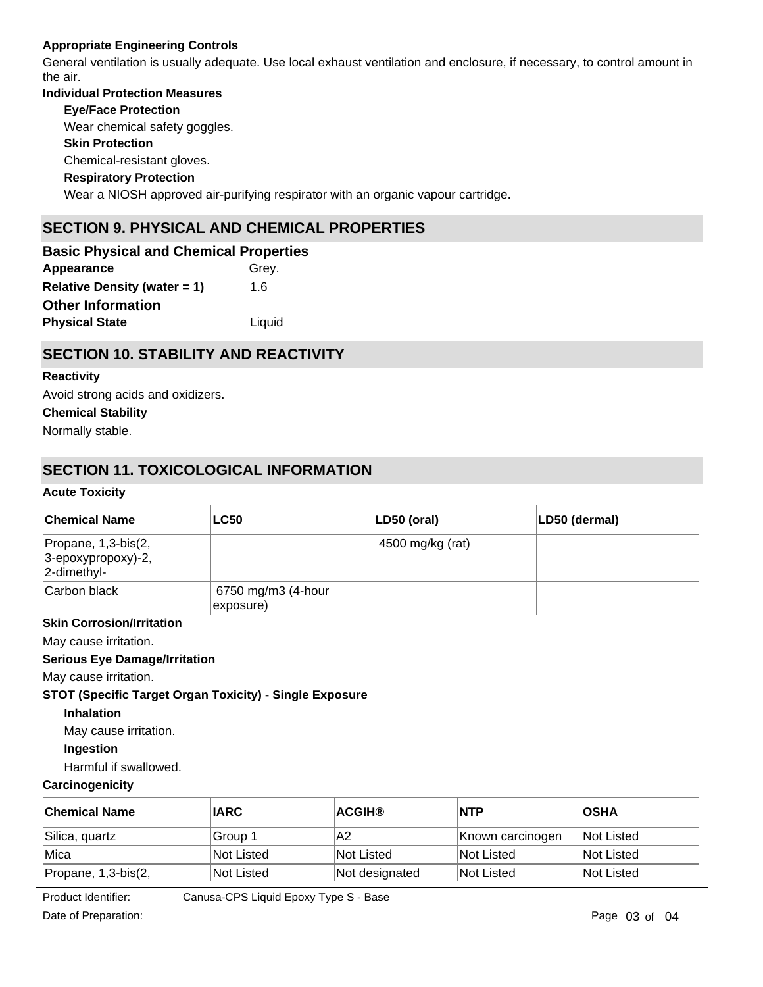## **Appropriate Engineering Controls**

General ventilation is usually adequate. Use local exhaust ventilation and enclosure, if necessary, to control amount in the air.

# **Individual Protection Measures Skin Protection Respiratory Protection Eye/Face Protection** Wear a NIOSH approved air-purifying respirator with an organic vapour cartridge. Chemical-resistant gloves. Wear chemical safety goggles. **SECTION 9. PHYSICAL AND CHEMICAL PROPERTIES**

**Appearance** Grey. **Relative Density (water = 1)** 1.6 **Basic Physical and Chemical Properties Physical State Liquid Other Information**

# **SECTION 10. STABILITY AND REACTIVITY**

## **Reactivity**

Avoid strong acids and oxidizers.

## **Chemical Stability**

Normally stable.

# **SECTION 11. TOXICOLOGICAL INFORMATION**

### **Acute Toxicity**

| <b>Chemical Name</b>                                         | <b>LC50</b>                     | $ LD50$ (oral)   | LD50 (dermal) |
|--------------------------------------------------------------|---------------------------------|------------------|---------------|
| Propane, 1,3-bis(2,<br>3-epoxypropoxy)-2,<br>$ 2$ -dimethyl- |                                 | 4500 mg/kg (rat) |               |
| Carbon black                                                 | 6750 mg/m3 (4-hour<br>exposure) |                  |               |

## **Skin Corrosion/Irritation**

May cause irritation.

## **Serious Eye Damage/Irritation**

May cause irritation.

## **STOT (Specific Target Organ Toxicity) - Single Exposure**

## **Inhalation**

May cause irritation.

## **Ingestion**

Harmful if swallowed.

## **Carcinogenicity**

| <b>Chemical Name</b>  | <b>IARC</b> | <b>ACGIH®</b>  | <b>INTP</b>      | <b>OSHA</b>       |
|-----------------------|-------------|----------------|------------------|-------------------|
| Silica, quartz        | Group 1     | IA2            | Known carcinogen | <b>Not Listed</b> |
| Mica                  | Not Listed  | Not Listed     | Not Listed       | <b>Not Listed</b> |
| Propane, $1,3-bis(2,$ | Not Listed  | Not designated | Not Listed       | <b>Not Listed</b> |

 $\overline{z}$  exponentially  $\overline{z}$ Product Iden

Product Identifier: Canusa-CPS Liquid Epoxy Type S - Base